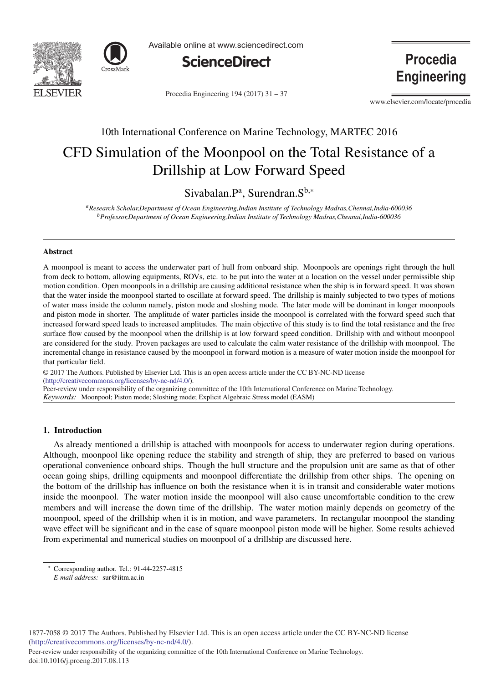



Available online at www.sciencedirect.com



Procedia Engineering 194 (2017)  $31 - 37$ 

**Procedia Engineering** 

www.elsevier.com/locate/procedia

## 10th International Conference on Marine Technology, MARTEC 2016

# CFD Simulation of the Moonpool on the Total Resistance of a Drillship at Low Forward Speed

Sivabalan.P<sup>a</sup>, Surendran.S<sup>b,∗</sup>

*aResearch Scholar,Department of Ocean Engineering,Indian Institute of Technology Madras,Chennai,India-600036 bProfessor,Department of Ocean Engineering,Indian Institute of Technology Madras,Chennai,India-600036*

#### Abstract

A moonpool is meant to access the underwater part of hull from onboard ship. Moonpools are openings right through the hull from deck to bottom, allowing equipments, ROVs, etc. to be put into the water at a location on the vessel under permissible ship motion condition. Open moonpools in a drillship are causing additional resistance when the ship is in forward speed. It was shown that the water inside the moonpool started to oscillate at forward speed. The drillship is mainly subjected to two types of motions of water mass inside the column namely, piston mode and sloshing mode. The later mode will be dominant in longer moonpools and piston mode in shorter. The amplitude of water particles inside the moonpool is correlated with the forward speed such that increased forward speed leads to increased amplitudes. The main objective of this study is to find the total resistance and the free surface flow caused by the moonpool when the drillship is at low forward speed condition. Drillship with and without moonpool are considered for the study. Proven packages are used to calculate the calm water resistance of the drillship with moonpool. The incremental change in resistance caused by the moonpool in forward motion is a measure of water motion inside the moonpool for that particular field.

c 2017 The Authors. Published by Elsevier Ltd. © 2017 The Authors. Published by Elsevier Ltd. This is an open access article under the CC BY-NC-ND license (http://creativecommons.org/licenses/by-nc-nd/4.0/). *Keywords:* Moonpool; Piston mode; Sloshing mode; Explicit Algebraic Stress model (EASM) Peer-review under responsibility of the organizing committee of the 10th International Conference on Marine Technology.

#### 1. Introduction

As already mentioned a drillship is attached with moonpools for access to underwater region during operations. Although, moonpool like opening reduce the stability and strength of ship, they are preferred to based on various operational convenience onboard ships. Though the hull structure and the propulsion unit are same as that of other ocean going ships, drilling equipments and moonpool differentiate the drillship from other ships. The opening on the bottom of the drillship has influence on both the resistance when it is in transit and considerable water motions inside the moonpool. The water motion inside the moonpool will also cause uncomfortable condition to the crew members and will increase the down time of the drillship. The water motion mainly depends on geometry of the moonpool, speed of the drillship when it is in motion, and wave parameters. In rectangular moonpool the standing wave effect will be significant and in the case of square moonpool piston mode will be higher. Some results achieved from experimental and numerical studies on moonpool of a drillship are discussed here.

<sup>∗</sup> Corresponding author. Tel.: 91-44-2257-4815

*E-mail address:* sur@iitm.ac.in

<sup>1877-7058 © 2017</sup> The Authors. Published by Elsevier Ltd. This is an open access article under the CC BY-NC-ND license (http://creativecommons.org/licenses/by-nc-nd/4.0/).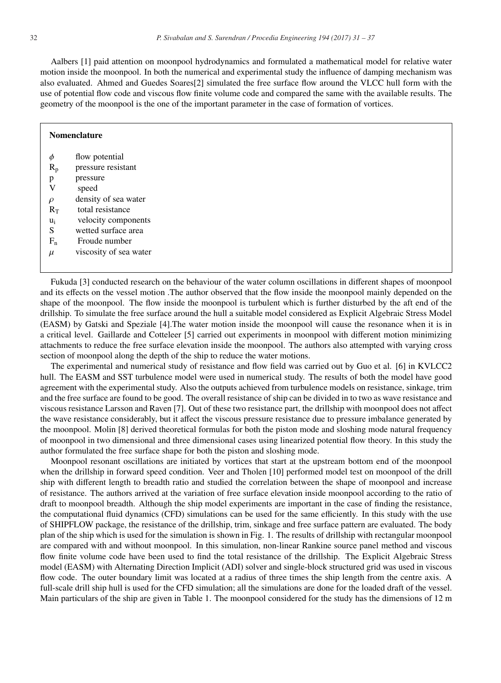Aalbers [1] paid attention on moonpool hydrodynamics and formulated a mathematical model for relative water motion inside the moonpool. In both the numerical and experimental study the influence of damping mechanism was also evaluated. Ahmed and Guedes Soares[2] simulated the free surface flow around the VLCC hull form with the use of potential flow code and viscous flow finite volume code and compared the same with the available results. The geometry of the moonpool is the one of the important parameter in the case of formation of vortices.

| <b>Nomenclature</b> |                        |  |
|---------------------|------------------------|--|
| $\phi$              | flow potential         |  |
| $R_p$               | pressure resistant     |  |
| p                   | pressure               |  |
| V                   | speed                  |  |
| $\rho$              | density of sea water   |  |
| $R_T$               | total resistance       |  |
| $u_i$               | velocity components    |  |
| S                   | wetted surface area    |  |
| $F_n$               | Froude number          |  |
| $\mu$               | viscosity of sea water |  |
|                     |                        |  |
|                     |                        |  |

Fukuda [3] conducted research on the behaviour of the water column oscillations in different shapes of moonpool and its effects on the vessel motion .The author observed that the flow inside the moonpool mainly depended on the shape of the moonpool. The flow inside the moonpool is turbulent which is further disturbed by the aft end of the drillship. To simulate the free surface around the hull a suitable model considered as Explicit Algebraic Stress Model (EASM) by Gatski and Speziale [4].The water motion inside the moonpool will cause the resonance when it is in a critical level. Gaillarde and Cotteleer [5] carried out experiments in moonpool with different motion minimizing attachments to reduce the free surface elevation inside the moonpool. The authors also attempted with varying cross section of moonpool along the depth of the ship to reduce the water motions.

The experimental and numerical study of resistance and flow field was carried out by Guo et al. [6] in KVLCC2 hull. The EASM and SST turbulence model were used in numerical study. The results of both the model have good agreement with the experimental study. Also the outputs achieved from turbulence models on resistance, sinkage, trim and the free surface are found to be good. The overall resistance of ship can be divided in to two as wave resistance and viscous resistance Larsson and Raven [7]. Out of these two resistance part, the drillship with moonpool does not affect the wave resistance considerably, but it affect the viscous pressure resistance due to pressure imbalance generated by the moonpool. Molin [8] derived theoretical formulas for both the piston mode and sloshing mode natural frequency of moonpool in two dimensional and three dimensional cases using linearized potential flow theory. In this study the author formulated the free surface shape for both the piston and sloshing mode.

Moonpool resonant oscillations are initiated by vortices that start at the upstream bottom end of the moonpool when the drillship in forward speed condition. Veer and Tholen [10] performed model test on moonpool of the drill ship with different length to breadth ratio and studied the correlation between the shape of moonpool and increase of resistance. The authors arrived at the variation of free surface elevation inside moonpool according to the ratio of draft to moonpool breadth. Although the ship model experiments are important in the case of finding the resistance, the computational fluid dynamics (CFD) simulations can be used for the same efficiently. In this study with the use of SHIPFLOW package, the resistance of the drillship, trim, sinkage and free surface pattern are evaluated. The body plan of the ship which is used for the simulation is shown in Fig. 1. The results of drillship with rectangular moonpool are compared with and without moonpool. In this simulation, non-linear Rankine source panel method and viscous flow finite volume code have been used to find the total resistance of the drillship. The Explicit Algebraic Stress model (EASM) with Alternating Direction Implicit (ADI) solver and single-block structured grid was used in viscous flow code. The outer boundary limit was located at a radius of three times the ship length from the centre axis. A full-scale drill ship hull is used for the CFD simulation; all the simulations are done for the loaded draft of the vessel. Main particulars of the ship are given in Table 1. The moonpool considered for the study has the dimensions of 12 m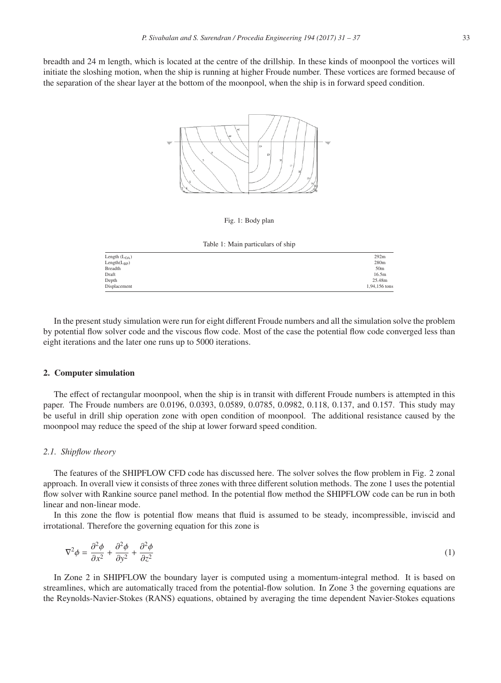breadth and 24 m length, which is located at the centre of the drillship. In these kinds of moonpool the vortices will initiate the sloshing motion, when the ship is running at higher Froude number. These vortices are formed because of the separation of the shear layer at the bottom of the moonpool, when the ship is in forward speed condition.



#### Fig. 1: Body plan

Table 1: Main particulars of ship

| Length $(LOA)$   | 292m            |
|------------------|-----------------|
| $Length(L_{BP})$ | 280m            |
| Breadth          | 50 <sub>m</sub> |
| Draft            | 16.5m           |
| Depth            | 25.48m          |
| Displacement     | 1,94,156 tons   |

In the present study simulation were run for eight different Froude numbers and all the simulation solve the problem by potential flow solver code and the viscous flow code. Most of the case the potential flow code converged less than eight iterations and the later one runs up to 5000 iterations.

#### 2. Computer simulation

The effect of rectangular moonpool, when the ship is in transit with different Froude numbers is attempted in this paper. The Froude numbers are 0.0196, 0.0393, 0.0589, 0.0785, 0.0982, 0.118, 0.137, and 0.157. This study may be useful in drill ship operation zone with open condition of moonpool. The additional resistance caused by the moonpool may reduce the speed of the ship at lower forward speed condition.

#### *2.1. Shipflow theory*

The features of the SHIPFLOW CFD code has discussed here. The solver solves the flow problem in Fig. 2 zonal approach. In overall view it consists of three zones with three different solution methods. The zone 1 uses the potential flow solver with Rankine source panel method. In the potential flow method the SHIPFLOW code can be run in both linear and non-linear mode.

In this zone the flow is potential flow means that fluid is assumed to be steady, incompressible, inviscid and irrotational. Therefore the governing equation for this zone is

$$
\nabla^2 \phi = \frac{\partial^2 \phi}{\partial x^2} + \frac{\partial^2 \phi}{\partial y^2} + \frac{\partial^2 \phi}{\partial z^2}
$$
 (1)

In Zone 2 in SHIPFLOW the boundary layer is computed using a momentum-integral method. It is based on streamlines, which are automatically traced from the potential-flow solution. In Zone 3 the governing equations are the Reynolds-Navier-Stokes (RANS) equations, obtained by averaging the time dependent Navier-Stokes equations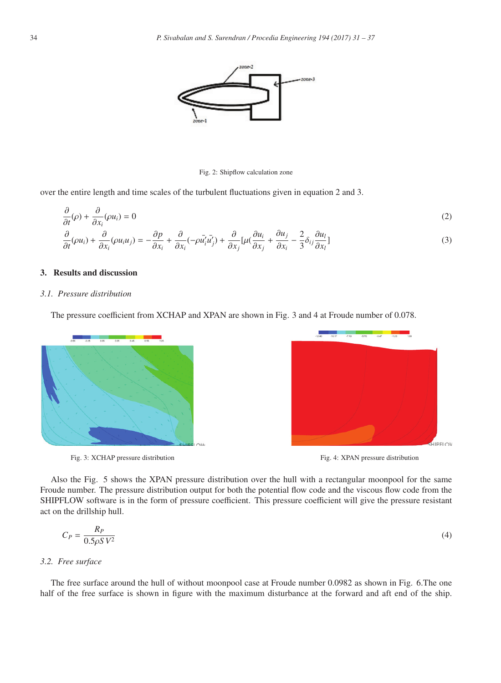

Fig. 2: Shipflow calculation zone

over the entire length and time scales of the turbulent fluctuations given in equation 2 and 3.

$$
\frac{\partial}{\partial t}(\rho) + \frac{\partial}{\partial x_i}(\rho u_i) = 0
$$
\n
$$
\frac{\partial}{\partial t}(\rho u_i) + \frac{\partial}{\partial x_i}(\rho u_i u_j) = -\frac{\partial p}{\partial x_i} + \frac{\partial}{\partial x_i}(-\rho \bar{u}_i' \bar{u}_j') + \frac{\partial}{\partial x_j}[\mu(\frac{\partial u_i}{\partial x_j} + \frac{\partial u_j}{\partial x_i} - \frac{2}{3}\delta_{ij}\frac{\partial u_i}{\partial x_l}]\tag{3}
$$

## 3. Results and discussion

#### *3.1. Pressure distribution*

The pressure coefficient from XCHAP and XPAN are shown in Fig. 3 and 4 at Froude number of 0.078.



Fig. 3: XCHAP pressure distribution Fig. 4: XPAN pressure distribution



Also the Fig. 5 shows the XPAN pressure distribution over the hull with a rectangular moonpool for the same Froude number. The pressure distribution output for both the potential flow code and the viscous flow code from the SHIPFLOW software is in the form of pressure coefficient. This pressure coefficient will give the pressure resistant act on the drillship hull.

$$
C_P = \frac{R_P}{0.5\rho S V^2} \tag{4}
$$

#### *3.2. Free surface*

The free surface around the hull of without moonpool case at Froude number 0.0982 as shown in Fig. 6.The one half of the free surface is shown in figure with the maximum disturbance at the forward and aft end of the ship.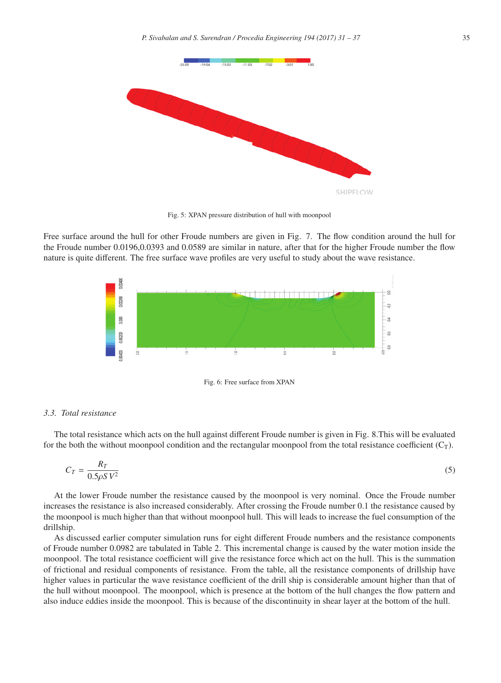

Fig. 5: XPAN pressure distribution of hull with moonpool

Free surface around the hull for other Froude numbers are given in Fig. 7. The flow condition around the hull for the Froude number 0.0196,0.0393 and 0.0589 are similar in nature, after that for the higher Froude number the flow nature is quite different. The free surface wave profiles are very useful to study about the wave resistance.



Fig. 6: Free surface from XPAN

#### *3.3. Total resistance*

The total resistance which acts on the hull against different Froude number is given in Fig. 8.This will be evaluated for the both the without moonpool condition and the rectangular moonpool from the total resistance coefficient  $(C_T)$ .

$$
C_T = \frac{R_T}{0.5\rho S V^2} \tag{5}
$$

At the lower Froude number the resistance caused by the moonpool is very nominal. Once the Froude number increases the resistance is also increased considerably. After crossing the Froude number 0.1 the resistance caused by the moonpool is much higher than that without moonpool hull. This will leads to increase the fuel consumption of the drillship.

As discussed earlier computer simulation runs for eight different Froude numbers and the resistance components of Froude number 0.0982 are tabulated in Table 2. This incremental change is caused by the water motion inside the moonpool. The total resistance coefficient will give the resistance force which act on the hull. This is the summation of frictional and residual components of resistance. From the table, all the resistance components of drillship have higher values in particular the wave resistance coefficient of the drill ship is considerable amount higher than that of the hull without moonpool. The moonpool, which is presence at the bottom of the hull changes the flow pattern and also induce eddies inside the moonpool. This is because of the discontinuity in shear layer at the bottom of the hull.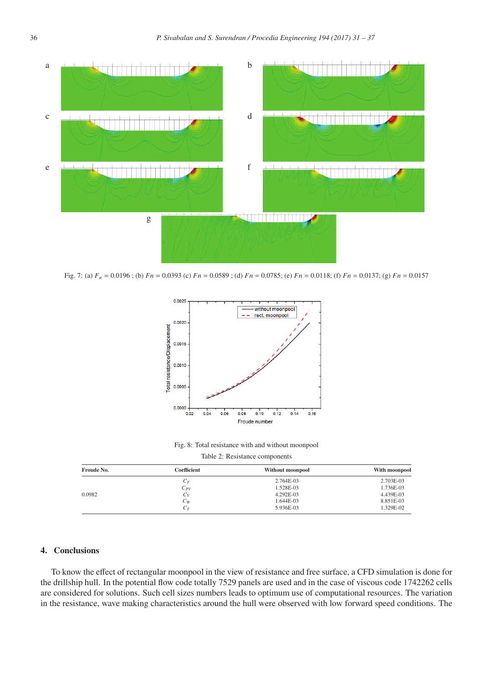

Fig. 7: (a) *Fn* = 0.0196 ; (b) *Fn* = 0.0393 (c) *Fn* = 0.0589 ; (d) *Fn* = 0.0785; (e) *Fn* = 0.0118; (f) *Fn* = 0.0137; (g) *Fn* = 0.0157



Fig. 8: Total resistance with and without moonpool Table 2: Resistance components

| Froude No. | Coefficient | Without moonpool | With moonpool |
|------------|-------------|------------------|---------------|
|            | $C_F$       | 2.764E-03        | 2.703E-03     |
|            | $C_{PV}$    | 1.528E-03        | 1.736E-03     |
| 0.0982     | $C_V$       | 4.292E-03        | 4.439E-03     |
|            | $C_W$       | 1.644E-03        | 8.851E-03     |
|            | $C_T$       | 5.936E-03        | 1.329E-02     |

### 4. Conclusions

To know the effect of rectangular moonpool in the view of resistance and free surface, a CFD simulation is done for the drillship hull. In the potential flow code totally 7529 panels are used and in the case of viscous code 1742262 cells are considered for solutions. Such cell sizes numbers leads to optimum use of computational resources. The variation in the resistance, wave making characteristics around the hull were observed with low forward speed conditions. The